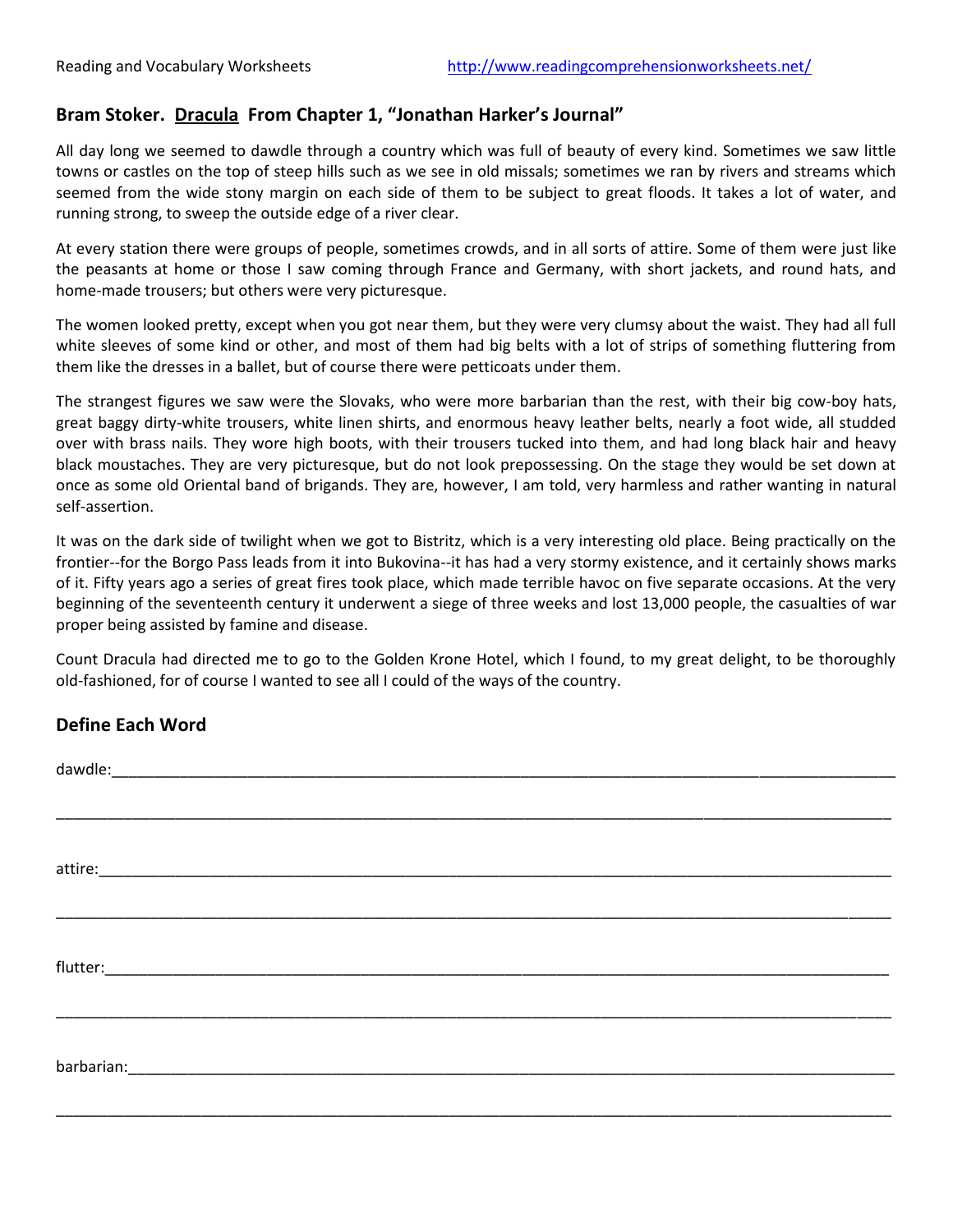## **Bram Stoker. Dracula From Chapter 1, "Jonathan Harker's Journal"**

All day long we seemed to dawdle through a country which was full of beauty of every kind. Sometimes we saw little towns or castles on the top of steep hills such as we see in old missals; sometimes we ran by rivers and streams which seemed from the wide stony margin on each side of them to be subject to great floods. It takes a lot of water, and running strong, to sweep the outside edge of a river clear.

At every station there were groups of people, sometimes crowds, and in all sorts of attire. Some of them were just like the peasants at home or those I saw coming through France and Germany, with short jackets, and round hats, and home-made trousers; but others were very picturesque.

The women looked pretty, except when you got near them, but they were very clumsy about the waist. They had all full white sleeves of some kind or other, and most of them had big belts with a lot of strips of something fluttering from them like the dresses in a ballet, but of course there were petticoats under them.

The strangest figures we saw were the Slovaks, who were more barbarian than the rest, with their big cow-boy hats, great baggy dirty-white trousers, white linen shirts, and enormous heavy leather belts, nearly a foot wide, all studded over with brass nails. They wore high boots, with their trousers tucked into them, and had long black hair and heavy black moustaches. They are very picturesque, but do not look prepossessing. On the stage they would be set down at once as some old Oriental band of brigands. They are, however, I am told, very harmless and rather wanting in natural self-assertion.

It was on the dark side of twilight when we got to Bistritz, which is a very interesting old place. Being practically on the frontier--for the Borgo Pass leads from it into Bukovina--it has had a very stormy existence, and it certainly shows marks of it. Fifty years ago a series of great fires took place, which made terrible havoc on five separate occasions. At the very beginning of the seventeenth century it underwent a siege of three weeks and lost 13,000 people, the casualties of war proper being assisted by famine and disease.

Count Dracula had directed me to go to the Golden Krone Hotel, which I found, to my great delight, to be thoroughly old-fashioned, for of course I wanted to see all I could of the ways of the country.

## **Define Each Word**